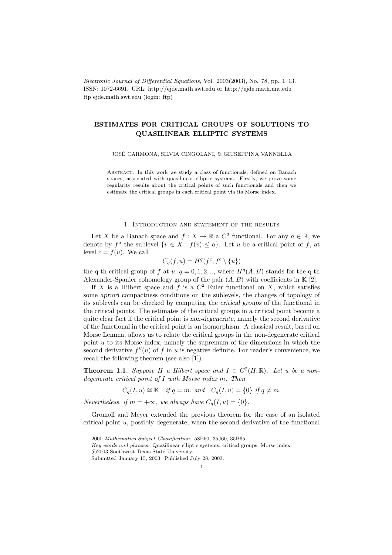Electronic Journal of Differential Equations, Vol. 2003(2003), No. 78, pp. 1–13. ISSN: 1072-6691. URL: http://ejde.math.swt.edu or http://ejde.math.unt.edu ftp ejde.math.swt.edu (login: ftp)

# ESTIMATES FOR CRITICAL GROUPS OF SOLUTIONS TO QUASILINEAR ELLIPTIC SYSTEMS

JOSE CARMONA, SILVIA CINGOLANI, & GIUSEPPINA VANNELLA ´

Abstract. In this work we study a class of functionals, defined on Banach spaces, associated with quasilinear elliptic systems. Firstly, we prove some regularity results about the critical points of such functionals and then we estimate the critical groups in each critical point via its Morse index.

### 1. Introduction and statement of the results

Let X be a Banach space and  $f: X \to \mathbb{R}$  a  $C^2$  functional. For any  $a \in \mathbb{R}$ , we denote by  $f^a$  the sublevel  $\{v \in X : f(v) \leq a\}$ . Let u be a critical point of f, at level  $c = f(u)$ . We call

$$
C_q(f, u) = H^q(f^c, f^c \setminus \{u\})
$$

the q-th critical group of f at u,  $q = 0, 1, 2, \ldots$ , where  $H<sup>q</sup>(A, B)$  stands for the q-th Alexander-Spanier cohomology group of the pair  $(A, B)$  with coefficients in  $K [2]$ .

If X is a Hilbert space and f is a  $C^2$  Euler functional on X, which satisfies some apriori compactness conditions on the sublevels, the changes of topology of its sublevels can be checked by computing the critical groups of the functional in the critical points. The estimates of the critical groups in a critical point become a quite clear fact if the critical point is non-degenerate, namely the second derivative of the functional in the critical point is an isomorphism. A classical result, based on Morse Lemma, allows us to relate the critical groups in the non-degenerate critical point  $u$  to its Morse index, namely the supremum of the dimensions in which the second derivative  $f''(u)$  of f in u is negative definite. For reader's convenience, we recall the following theorem (see also [1]).

**Theorem 1.1.** Suppose H a Hilbert space and  $I \in C^2(H,\mathbb{R})$ . Let u be a nondegenerate critical point of I with Morse index m. Then

 $C_q(I, u) \cong \mathbb{K}$  if  $q = m$ , and  $C_q(I, u) = \{0\}$  if  $q \neq m$ .

Nevertheless, if  $m = +\infty$ , we always have  $C_q(I, u) = \{0\}.$ 

Gromoll and Meyer extended the previous theorem for the case of an isolated critical point  $u$ , possibly degenerate, when the second derivative of the functional

<sup>2000</sup> Mathematics Subject Classification. 58E60, 35J60, 35B65.

Key words and phrases. Quasilinear elliptic systems, critical groups, Morse index.

c 2003 Southwest Texas State University.

Submitted January 15, 2003. Published July 28, 2003.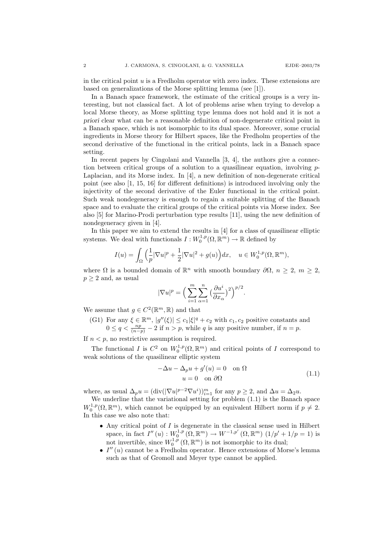in the critical point  $u$  is a Fredholm operator with zero index. These extensions are based on generalizations of the Morse splitting lemma (see [1]).

In a Banach space framework, the estimate of the critical groups is a very interesting, but not classical fact. A lot of problems arise when trying to develop a local Morse theory, as Morse splitting type lemma does not hold and it is not a priori clear what can be a reasonable definition of non-degenerate critical point in a Banach space, which is not isomorphic to its dual space. Moreover, some crucial ingredients in Morse theory for Hilbert spaces, like the Fredholm properties of the second derivative of the functional in the critical points, lack in a Banach space setting.

In recent papers by Cingolani and Vannella [3, 4], the authors give a connection between critical groups of a solution to a quasilinear equation, involving  $p$ -Laplacian, and its Morse index. In [4], a new definition of non-degenerate critical point (see also [1, 15, 16] for different definitions) is introduced involving only the injectivity of the second derivative of the Euler functional in the critical point. Such weak nondegeneracy is enough to regain a suitable splitting of the Banach space and to evaluate the critical groups of the critical points via Morse index. See also [5] for Marino-Prodi perturbation type results [11], using the new definition of nondegeneracy given in [4].

In this paper we aim to extend the results in [4] for a class of quasilinear elliptic systems. We deal with functionals  $I: W_0^{1,p}(\Omega, \mathbb{R}^m) \to \mathbb{R}$  defined by

$$
I(u) = \int_{\Omega} \left( \frac{1}{p} |\nabla u|^p + \frac{1}{2} |\nabla u|^2 + g(u) \right) dx, \quad u \in W_0^{1,p}(\Omega, \mathbb{R}^m),
$$

where  $\Omega$  is a bounded domain of  $\mathbb{R}^n$  with smooth boundary  $\partial\Omega$ ,  $n \geq 2$ ,  $m \geq 2$ ,  $p \geq 2$  and, as usual

$$
|\nabla u|^p = \Big(\sum_{i=1}^m \sum_{\alpha=1}^n \big(\frac{\partial u^i}{\partial x_\alpha}\big)^2\Big)^{p/2}.
$$

We assume that  $g \in C^2(\mathbb{R}^m, \mathbb{R})$  and that

(G1) For any  $\xi \in \mathbb{R}^m$ ,  $|g''(\xi)| \leq c_1 |\xi|^q + c_2$  with  $c_1, c_2$  positive constants and  $0 \le q < \frac{np}{(n-p)} - 2$  if  $n > p$ , while q is any positive number, if  $n = p$ .

If  $n < p$ , no restrictive assumption is required.

The functional I is  $C^2$  on  $W_0^{1,p}(\Omega,\mathbb{R}^m)$  and critical points of I correspond to weak solutions of the quasilinear elliptic system

$$
-\Delta u - \Delta_p u + g'(u) = 0 \quad \text{on } \Omega
$$
  
 
$$
u = 0 \quad \text{on } \partial\Omega
$$
 (1.1)

where, as usual  $\Delta_p u = (\text{div}(|\nabla u|^{p-2} \nabla u^i))_{i=1}^m$  for any  $p \ge 2$ , and  $\Delta u = \Delta_2 u$ .

We underline that the variational setting for problem (1.1) is the Banach space  $W_0^{1,p}(\Omega,\mathbb{R}^m)$ , which cannot be equipped by an equivalent Hilbert norm if  $p \neq 2$ . In this case we also note that:

- $\bullet\,$  Any critical point of  $I$  is degenerate in the classical sense used in Hilbert space, in fact  $I''(u) : W_0^{1,p}(\Omega, \mathbb{R}^m) \to W^{-1,p'}(\Omega, \mathbb{R}^m)$   $(1/p' + 1/p = 1)$  is not invertible, since  $W_0^{1,p}(\Omega,\mathbb{R}^m)$  is not isomorphic to its dual;
- $I''(u)$  cannot be a Fredholm operator. Hence extensions of Morse's lemma such as that of Gromoll and Meyer type cannot be applied.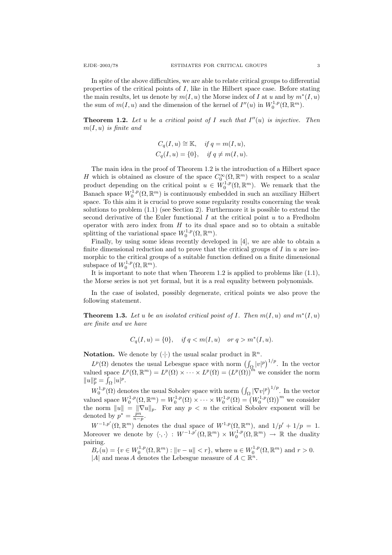In spite of the above difficulties, we are able to relate critical groups to differential properties of the critical points of  $I$ , like in the Hilbert space case. Before stating the main results, let us denote by  $m(I, u)$  the Morse index of I at u and by  $m^*(I, u)$ the sum of  $m(I, u)$  and the dimension of the kernel of  $I''(u)$  in  $W_0^{1,p}(\Omega, \mathbb{R}^m)$ .

**Theorem 1.2.** Let u be a critical point of I such that  $I''(u)$  is injective. Then  $m(I, u)$  is finite and

$$
C_q(I, u) \cong \mathbb{K}, \quad \text{if } q = m(I, u),
$$
  

$$
C_q(I, u) = \{0\}, \quad \text{if } q \neq m(I, u).
$$

The main idea in the proof of Theorem 1.2 is the introduction of a Hilbert space H which is obtained as closure of the space  $C_0^{\infty}(\Omega, \mathbb{R}^m)$  with respect to a scalar product depending on the critical point  $u \in W_0^{1,p}(\Omega,\mathbb{R}^m)$ . We remark that the Banach space  $W_0^{1,p}(\Omega,\mathbb{R}^m)$  is continuously embedded in such an auxiliary Hilbert space. To this aim it is crucial to prove some regularity results concerning the weak solutions to problem (1.1) (see Section 2). Furthermore it is possible to extend the second derivative of the Euler functional  $I$  at the critical point  $u$  to a Fredholm operator with zero index from  $H$  to its dual space and so to obtain a suitable splitting of the variational space  $W_0^{1,p}(\Omega,\mathbb{R}^m)$ .

Finally, by using some ideas recently developed in [4], we are able to obtain a finite dimensional reduction and to prove that the critical groups of  $I$  in  $u$  are isomorphic to the critical groups of a suitable function defined on a finite dimensional subspace of  $W_0^{1,p}(\Omega,\mathbb{R}^m)$ .

It is important to note that when Theorem 1.2 is applied to problems like (1.1), the Morse series is not yet formal, but it is a real equality between polynomials.

In the case of isolated, possibly degenerate, critical points we also prove the following statement.

**Theorem 1.3.** Let u be an isolated critical point of I. Then  $m(I, u)$  and  $m^*(I, u)$ are finite and we have

$$
C_q(I, u) = \{0\}, \quad \text{if } q < m(I, u) \quad \text{or } q > m^*(I, u).
$$

**Notation.** We denote by  $(\cdot | \cdot)$  the usual scalar product in  $\mathbb{R}^n$ .

 $L^p(\Omega)$  denotes the usual Lebesgue space with norm  $\left(\int_{\Omega} |v|^p\right)^{1/p}$ . In the vector valued space  $L^p(\Omega,\mathbb{R}^m) = L^p(\Omega) \times \cdots \times L^p(\Omega) = (L^p(\Omega))^{m}$  we consider the norm  $\|u\|_p^p = \int_\Omega |u|^p.$ 

 $W_0^{1,p}(\Omega)$  denotes the usual Sobolev space with norm  $\left(\int_{\Omega} |\nabla v|^p\right)^{1/p}$ . In the vector  $W_0$  (*st*) denotes the usual Sobolev space with horm  $(J_{\Omega} | V_0 |^2)$ . In the vector valued space  $W_0^{1,p}(\Omega, \mathbb{R}^m) = W_0^{1,p}(\Omega) \times \cdots \times W_0^{1,p}(\Omega) = (W_0^{1,p}(\Omega))^m$  we consider the norm  $||u|| = ||\nabla u||_p$ . For any  $p \lt n$  the critical Sobolev exponent will be denoted by  $p^* = \frac{pn}{n-p}$ .

 $W^{-1,p'}(\Omega,\mathbb{R}^m)$  denotes the dual space of  $W^{1,p}(\Omega,\mathbb{R}^m)$ , and  $1/p'+1/p=1$ . Moreover we denote by  $\langle \cdot, \cdot \rangle : W^{-1,p'}(\Omega, \mathbb{R}^m) \times W_0^{1,p}(\Omega, \mathbb{R}^m) \to \mathbb{R}$  the duality pairing.

 $B_r(u) = \{v \in W_0^{1,p}(\Omega, \mathbb{R}^m) : ||v - u|| < r\}$ , where  $u \in W_0^{1,p}(\Omega, \mathbb{R}^m)$  and  $r > 0$ . |A| and meas A denotes the Lebesgue measure of  $A \subset \mathbb{R}^n$ .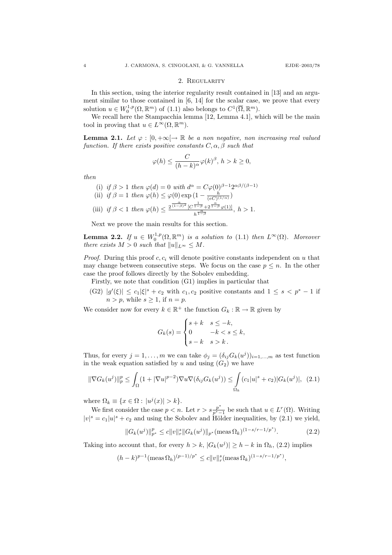#### 2. Regularity

In this section, using the interior regularity result contained in [13] and an argument similar to those contained in [6, 14] for the scalar case, we prove that every solution  $u \in W_0^{1,p}(\Omega, \mathbb{R}^m)$  of  $(1.1)$  also belongs to  $C^1(\overline{\Omega}, \mathbb{R}^m)$ .

We recall here the Stampacchia lemma [12, Lemma 4.1], which will be the main tool in proving that  $u \in L^{\infty}(\Omega, \mathbb{R}^m)$ .

**Lemma 2.1.** Let  $\varphi : [0, +\infty] \to \mathbb{R}$  be a non negative, non increasing real valued function. If there exists positive constants  $C, \alpha, \beta$  such that

$$
\varphi(h) \le \frac{C}{(h-k)^{\alpha}} \varphi(k)^{\beta}, h > k \ge 0,
$$

then

(i) if 
$$
\beta > 1
$$
 then  $\varphi(d) = 0$  with  $d^{\alpha} = C\varphi(0)^{\beta - 1}2^{\alpha\beta/(\beta - 1)}$  (ii) if  $\beta = 1$  then  $\varphi(h) \leq \varphi(0) \exp\left(1 - \frac{h}{(eC)^{(1/\alpha)}}\right)$  (iii) if  $\beta < 1$  then  $\varphi(h) \leq \frac{2^{\frac{\alpha}{(1-\beta)^2}} \left[C^{\frac{1}{1-\beta}} + 2^{\frac{\alpha}{1-\beta}}\varphi(1)\right]}{h^{\frac{\alpha}{1-\beta}}}, \quad h > 1.$ 

Next we prove the main results for this section.

**Lemma 2.2.** If  $u \in W_0^{1,p}(\Omega, \mathbb{R}^m)$  is a solution to (1.1) then  $L^{\infty}(\Omega)$ . Moreover there exists  $M > 0$  such that  $||u||_{L^{\infty}} \leq M$ .

*Proof.* During this proof  $c, c_i$  will denote positive constants independent on u that may change between consecutive steps. We focus on the case  $p \leq n$ . In the other case the proof follows directly by the Sobolev embedding.

Firstly, we note that condition (G1) implies in particular that

 $(G2)$   $|g'(\xi)| \leq c_1 |\xi|^s + c_2$  with  $c_1, c_2$  positive constants and  $1 \leq s < p^* - 1$  if  $n > p$ , while  $s \geq 1$ , if  $n = p$ .

We consider now for every  $k \in \mathbb{R}^+$  the function  $G_k : \mathbb{R} \to \mathbb{R}$  given by

$$
G_k(s) = \begin{cases} s+k & s \leq -k, \\ 0 & -k < s \leq k, \\ s-k & s > k. \end{cases}
$$

Thus, for every  $j = 1, ..., m$  we can take  $\phi_j = (\delta_{ij} G_k(u^j))_{i=1,...,m}$  as test function in the weak equation satisfied by u and using  $(G_2)$  we have

$$
\|\nabla G_k(u^j)\|_p^p \le \int_{\Omega} (1 + |\nabla u|^{p-2}) \nabla u \nabla (\delta_{ij} G_k(u^j)) \le \int_{\Omega_k} (c_1 |u|^s + c_2) |G_k(u^j)|, \tag{2.1}
$$

where  $\Omega_k \equiv \{x \in \Omega : |u^j(x)| > k\}.$ 

We first consider the case  $p < n$ . Let  $r > s \frac{p^*}{n^*}$  $\frac{p^*}{p^*-1}$  be such that  $u \in L^r(\Omega)$ . Writing  $|v|^s = c_1 |u|^s + c_2$  and using the Sobolev and Hölder inequalities, by (2.1) we yield,

$$
||G_k(u^j)||_{p^*}^p \le c||v||_r^s ||G_k(u^j)||_{p^*} (\text{meas }\Omega_k)^{(1-s/r-1/p^*)}.
$$
 (2.2)

,

Taking into account that, for every  $h > k$ ,  $|G_k(u^j)| \geq h - k$  in  $\Omega_h$ , (2.2) implies

$$
(h - k)^{p-1}(\text{meas}\,\Omega_h)^{(p-1)/p^*} \le c \|v\|_r^s(\text{meas}\,\Omega_k)^{(1 - s/r - 1/p^*)}
$$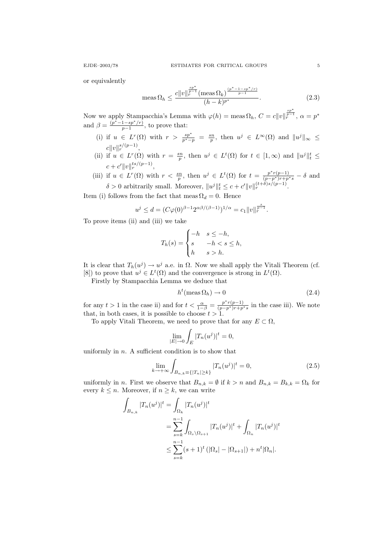or equivalently

$$
\text{meas}\,\Omega_h \le \frac{c||v||_r^{\frac{sp^*}{p-1}}(\text{meas}\,\Omega_k)^{\frac{(p^*-1-sp^*/r)}{p-1}}}{(h-k)^{p^*}}.\tag{2.3}
$$

Now we apply Stampacchia's Lemma with  $\varphi(h) = \text{meas } \Omega_h, C = c||v||$  $\frac{\frac{sp^*}{p-1}}{r}, \, \alpha = p^*$ and  $\beta = \frac{(p^* - 1 - sp^* / r)}{n - 1}$  $\frac{1 - sp/(r)}{p-1}$ , to prove that:

- (i) if  $u \in L^r(\Omega)$  with  $r > \frac{sp^*}{p^*-p} = \frac{sn}{p}$ , then  $u^j \in L^{\infty}(\Omega)$  and  $||u^j||_{\infty} \le$  $c\|v\|_r^{s/(p-1)},$
- (ii) if  $u \in L^r(\Omega)$  with  $r = \frac{sn}{p}$ , then  $u^j \in L^t(\Omega)$  for  $t \in [1,\infty)$  and  $||u^j||_t^t \le$  $c + c' \|v\|_r^{ts/(p-1)},$
- (iii) if  $u \in L^r(\Omega)$  with  $r < \frac{sn}{p}$ , then  $u^j \in L^t(\Omega)$  for  $t = \frac{p^*r(p-1)}{(p-p^*)r+p^*s} \delta$  and  $\delta > 0$  arbitrarily small. Moreover,  $||u^j||_t^t \le c + c'||v||_r^{(t+\delta)s/(p-1)}$ .

Item (i) follows from the fact that meas  $\Omega_d = 0$ . Hence

$$
u^j \leq d = (C \varphi(0)^{\beta-1} 2^{\alpha \beta/(\beta-1)})^{1/\alpha} = c_1 \|v\|_r^{\frac{s}{p-1}}.
$$

To prove items (ii) and (iii) we take

$$
T_h(s) = \begin{cases} -h & s \le -h, \\ s & -h < s \le h, \\ h & s > h. \end{cases}
$$

It is clear that  $T_h(u^j) \to u^j$  a.e. in  $\Omega$ . Now we shall apply the Vitali Theorem (cf. [8]) to prove that  $u^j \in L^t(\Omega)$  and the convergence is strong in  $L^t(\Omega)$ .

Firstly by Stampacchia Lemma we deduce that

$$
h^t(\text{meas }\Omega_h) \to 0 \tag{2.4}
$$

for any  $t > 1$  in the case ii) and for  $t < \frac{\alpha}{1-\beta} = \frac{p^*r(p-1)}{(p-p^*)r+p^*s}$  in the case iii). We note that, in both cases, it is possible to choose  $t > 1$ .

To apply Vitali Theorem, we need to prove that for any  $E \subset \Omega$ ,

$$
\lim_{|E| \to 0} \int_E |T_n(u^j)|^t = 0,
$$

uniformly in  $n$ . A sufficient condition is to show that

$$
\lim_{k \to +\infty} \int_{B_{n,k} \equiv \{|T_n| \ge k\}} |T_n(u^j)|^t = 0,
$$
\n(2.5)

uniformly in n. First we observe that  $B_{n,k} = \emptyset$  if  $k > n$  and  $B_{n,k} = B_{k,k} = \Omega_k$  for every  $k \leq n$ . Moreover, if  $n \geq k$ , we can write

$$
\int_{B_{n,k}} |T_n(u^j)|^t = \int_{\Omega_k} |T_n(u^j)|^t
$$
  
= 
$$
\sum_{s=k}^{n-1} \int_{\Omega_s \setminus \Omega_{s+1}} |T_n(u^j)|^t + \int_{\Omega_n} |T_n(u^j)|^t
$$
  

$$
\leq \sum_{s=k}^{n-1} (s+1)^t (|\Omega_s| - |\Omega_{s+1}|) + n^t |\Omega_n|.
$$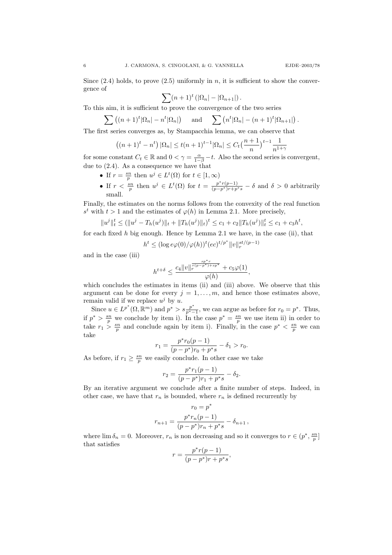Since  $(2.4)$  holds, to prove  $(2.5)$  uniformly in n, it is sufficient to show the convergence of

$$
\sum (n+1)^t \left( |\Omega_n| - |\Omega_{n+1}| \right).
$$

To this aim, it is sufficient to prove the convergence of the two series

$$
\sum_{n=1}^{\infty} \left( (n+1)^t |\Omega_n| - n^t |\Omega_n| \right) \quad \text{and} \quad \sum_{n=1}^{\infty} \left( n^t |\Omega_n| - (n+1)^t |\Omega_{n+1}| \right).
$$

The first series converges as, by Stampacchia lemma, we can observe that

$$
((n+1)^{t} - n^{t}) |\Omega_{n}| \leq t(n+1)^{t-1} |\Omega_{n}| \leq C_{t} \left(\frac{n+1}{n}\right)^{t-1} \frac{1}{n^{1+\gamma}}
$$

for some constant  $C_t \in \mathbb{R}$  and  $0 < \gamma = \frac{\alpha}{1-\beta} - t$ . Also the second series is convergent, due to (2.4). As a consequence we have that

- If  $r = \frac{sn}{p}$  then  $u^j \in L^t(\Omega)$  for  $t \in [1, \infty)$
- If  $r < \frac{sn}{p}$  then  $u^j \in L^t(\Omega)$  for  $t = \frac{p^*r(p-1)}{(p-p^*)r+p^*s} \delta$  and  $\delta > 0$  arbitrarily small.

Finally, the estimates on the norms follows from the convexity of the real function  $s<sup>t</sup>$  with  $t > 1$  and the estimates of  $\varphi(h)$  in Lemma 2.1. More precisely,

$$
||u^j||_t^t \le (||u^j - T_h(u^j)||_t + ||T_h(u^j)||_t)^t \le c_1 + c_2||T_h(u^j)||_t^t \le c_1 + c_3h^t,
$$

for each fixed  $h$  big enough. Hence by Lemma 2.1 we have, in the case (ii), that

$$
h^t \le (\log e\varphi(0)/\varphi(h))^t (ec)^{t/p^*} ||v||_r^{st/(p-1)}
$$

and in the case (iii)

$$
h^{t+\delta} \le \frac{c_4 \|v\|_r^{\frac{sp^*r}{r(p-p^*)+sp^*}} + c_5\varphi(1)}{\varphi(h)},
$$

which concludes the estimates in items (ii) and (iii) above. We observe that this argument can be done for every  $j = 1, \ldots, m$ , and hence those estimates above, remain valid if we replace  $u^j$  by u.

Since  $u \in L^{p^*}(\Omega, \mathbb{R}^m)$  and  $p^* > s \frac{p^*}{n^*}$  $\frac{p^*}{p^*-1}$ , we can argue as before for  $r_0 = p^*$ . Thus, if  $p^* > \frac{sn}{p}$  we conclude by item i). In the case  $p^* = \frac{sn}{p}$  we use item ii) in order to take  $r_1 > \frac{sn}{p}$  and conclude again by item i). Finally, in the case  $p^* < \frac{sn}{p}$  we can take

$$
r_1 = \frac{p^* r_0 (p-1)}{(p-p^*) r_0 + p^* s} - \delta_1 > r_0.
$$

As before, if  $r_1 \geq \frac{sn}{p}$  we easily conclude. In other case we take

$$
r_2 = \frac{p^* r_1 (p - 1)}{(p - p^*) r_1 + p^* s} - \delta_2.
$$

By an iterative argument we conclude after a finite number of steps. Indeed, in other case, we have that  $r_n$  is bounded, where  $r_n$  is defined recurrently by

$$
r_0 = p^*
$$
  

$$
r_{n+1} = \frac{p^* r_n (p-1)}{(p-p^*)r_n + p^*s} - \delta_{n+1},
$$

where  $\lim_{n \to \infty} \delta_n = 0$ . Moreover,  $r_n$  is non decreasing and so it converges to  $r \in (p^*, \frac{sn}{p}]$ that satisfies

$$
r = \frac{p^*r(p-1)}{(p-p^*)r + p^*s},
$$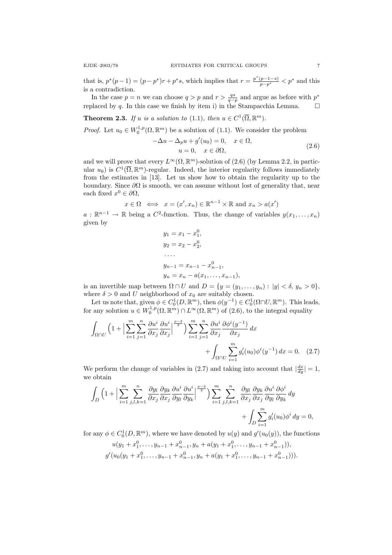that is,  $p^*(p-1) = (p-p^*)r + p^*s$ , which implies that  $r = \frac{p^*(p-1-s)}{p-p^*} < p^*$  and this is a contradiction.

In the case  $p = n$  we can choose  $q > p$  and  $r > \frac{qs}{q-p}$  and argue as before with  $p^*$ replaced by q. In this case we finish by item i) in the Stampacchia Lemma.  $\square$ 

**Theorem 2.3.** If u is a solution to (1.1), then  $u \in C^1(\overline{\Omega}, \mathbb{R}^m)$ .

*Proof.* Let  $u_0 \in W_0^{1,p}(\Omega, \mathbb{R}^m)$  be a solution of (1.1). We consider the problem

$$
-\Delta u - \Delta_p u + g'(u_0) = 0, \quad x \in \Omega,
$$
  

$$
u = 0, \quad x \in \partial\Omega,
$$
 (2.6)

and we will prove that every  $L^{\infty}(\Omega, \mathbb{R}^m)$ -solution of (2.6) (by Lemma 2.2, in particular  $u_0$ ) is  $C^1(\overline{\Omega}, \mathbb{R}^m)$ -regular. Indeed, the interior regularity follows immediately from the estimates in [13]. Let us show how to obtain the regularity up to the boundary. Since  $\partial\Omega$  is smooth, we can assume without lost of generality that, near each fixed  $x^0 \in \partial\Omega$ ,

$$
x \in \Omega \iff x = (x', x_n) \in \mathbb{R}^{n-1} \times \mathbb{R}
$$
 and  $x_n > a(x')$ 

 $a: \mathbb{R}^{n-1} \to \mathbb{R}$  being a  $C^2$ -function. Thus, the change of variables  $y(x_1, \ldots, x_n)$ given by

$$
y_1 = x_1 - x_1^0,
$$
  
\n
$$
y_2 = x_2 - x_2^0,
$$
  
\n...  
\n
$$
y_{n-1} = x_{n-1} - x_{n-1}^0,
$$
  
\n
$$
y_n = x_n - a(x_1, ..., x_{n-1}),
$$

is an invertible map between  $\Omega \cap U$  and  $D = \{y = (y_1, \ldots, y_n) : |y| < \delta, y_n > 0\},\$ where  $\delta > 0$  and U neighborhood of  $x_0$  are suitably chosen.

Let us note that, given  $\phi \in C_0^1(D, \mathbb{R}^m)$ , then  $\phi(y^{-1}) \in C_0^1(\Omega \cap U, \mathbb{R}^m)$ . This leads, for any solution  $u \in W_0^{1,p}(\Omega, \mathbb{R}^m) \cap L^\infty(\Omega, \mathbb{R}^m)$  of  $(2.6)$ , to the integral equality

$$
\int_{\Omega \cap U} \left(1 + \left|\sum_{i=1}^m \sum_{j=1}^n \frac{\partial u^i}{\partial x_j} \frac{\partial u^i}{\partial x_j}\right|^{p-2} \right) \sum_{i=1}^m \sum_{j=1}^n \frac{\partial u^i}{\partial x_j} \frac{\partial \phi^i(y^{-1})}{\partial x_j} dx + \int_{\Omega \cap U} \sum_{i=1}^m g'_i(u_0) \phi^i(y^{-1}) dx = 0. \tag{2.7}
$$

We perform the change of variables in (2.7) and taking into account that  $\left|\frac{dx}{dy}\right|=1$ , we obtain

$$
\int_{D} \left(1 + \Big|\sum_{i=1}^{m} \sum_{j,l,k=1}^{n} \frac{\partial y_{l}}{\partial x_{j}} \frac{\partial y_{k}}{\partial x_{j}} \frac{\partial u^{i}}{\partial y_{l}} \frac{\partial u^{i}}{\partial y_{k}} \Big|^{p-2} \right) \sum_{i=1}^{m} \sum_{j,l,k=1}^{n} \frac{\partial y_{l}}{\partial x_{j}} \frac{\partial y_{k}}{\partial x_{j}} \frac{\partial u^{i}}{\partial y_{l}} \frac{\partial \phi^{i}}{\partial y_{k}} dy + \int_{D} \sum_{i=1}^{m} g'_{i}(u_{0}) \phi^{i} dy = 0,
$$

for any  $\phi \in C_0^1(D, \mathbb{R}^m)$ , where we have denoted by  $u(y)$  and  $g'(u_0(y))$ , the functions

$$
u(y_1 + x_1^0, \dots, y_{n-1} + x_{n-1}^0, y_n + a(y_1 + x_1^0, \dots, y_{n-1} + x_{n-1}^0)),
$$
  

$$
g'(u_0(y_1 + x_1^0, \dots, y_{n-1} + x_{n-1}^0, y_n + a(y_1 + x_1^0, \dots, y_{n-1} + x_{n-1}^0))).
$$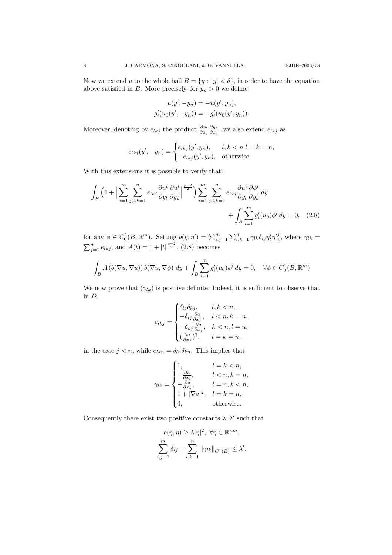Now we extend u to the whole ball  $B = \{y : |y| < \delta\}$ , in order to have the equation above satisfied in B. More precisely, for  $y_n > 0$  we define

$$
u(y', -y_n) = -u(y', y_n),
$$
  

$$
g'_i(u_0(y', -y_n)) = -g'_i(u_0(y', y_n)).
$$

Moreover, denoting by  $e_{lkj}$  the product  $\frac{\partial y_l}{\partial x_j} \frac{\partial y_k}{\partial x_j}$ , we also extend  $e_{lkj}$  as

$$
e_{lkj}(y', -y_n) = \begin{cases} e_{lkj}(y', y_n), & l, k < n \ l = k = n, \\ -e_{lkj}(y', y_n), & \text{otherwise.} \end{cases}
$$

With this extensions it is possible to verify that:

$$
\int_{B} \left(1 + \left|\sum_{i=1}^{m} \sum_{j,l,k=1}^{n} e_{lkj} \frac{\partial u^i}{\partial y_l} \frac{\partial u^i}{\partial y_k}\right|^{p-2} \right) \sum_{i=1}^{m} \sum_{j,l,k=1}^{n} e_{lkj} \frac{\partial u^i}{\partial y_l} \frac{\partial \phi^i}{\partial y_k} dy + \int_{B} \sum_{i=1}^{m} g'_i(u_0) \phi^i dy = 0, \quad (2.8)
$$

for any  $\phi \in C_0^1(B, \mathbb{R}^m)$ . Setting  $b(\eta, \eta') = \sum_{i,j=1}^m \sum_{l,k=1}^n \gamma_{lk} \delta_{ij} \eta_l^i \eta_k^j$ , where  $\gamma_{lk} =$  $\sum_{j=1}^{n} e_{lkj}$ , and  $A(t) = 1 + |t|^{\frac{p-2}{2}}$ , (2.8) becomes

$$
\int_B A(b(\nabla u, \nabla u)) b(\nabla u, \nabla \phi) dy + \int_B \sum_{i=1}^m g'_i(u_0) \phi^i dy = 0, \quad \forall \phi \in C_0^1(B, \mathbb{R}^m)
$$

We now prove that  $(\gamma_{lk})$  is positive definite. Indeed, it is sufficient to observe that in D

$$
e_{lkj} = \begin{cases} \delta_{lj}\delta_{kj}, & l,k < n, \\ -\delta_{lj}\frac{\partial a}{\partial x_j}, & l < n, k = n, \\ -\delta_{kj}\frac{\partial a}{\partial x_j}, & k < n, l = n, \\ (\frac{\partial a}{\partial x_j})^2, & l = k = n, \end{cases}
$$

in the case  $j < n$ , while  $e_{lkn} = \delta_{ln} \delta_{kn}$ . This implies that

$$
\gamma_{lk} = \begin{cases} 1, & l=k < n, \\ -\frac{\partial a}{\partial x_l}, & l < n, k = n, \\ -\frac{\partial a}{\partial x_k}, & l = n, k < n, \\ 1+|\nabla a|^2, & l = k = n, \\ 0, & \text{otherwise.} \end{cases}
$$

Consequently there exist two positive constants  $\lambda, \lambda'$  such that

$$
b(\eta, \eta) \geq \lambda |\eta|^2, \ \forall \eta \in \mathbb{R}^{nm},
$$

$$
\sum_{i,j=1}^m \delta_{ij} + \sum_{l,k=1}^n \|\gamma_{lk}\|_{C^1(\overline{B})} \leq \lambda'.
$$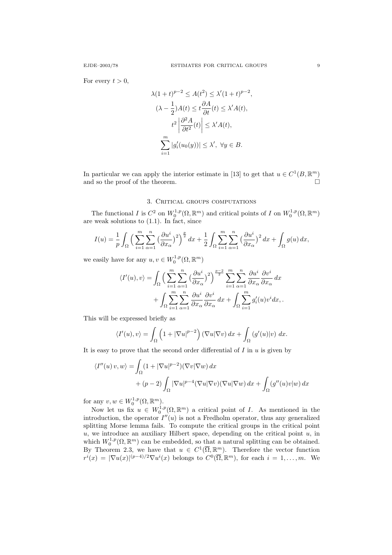For every  $t > 0$ ,

$$
\lambda(1+t)^{p-2} \le A(t^2) \le \lambda'(1+t)^{p-2},
$$
  

$$
(\lambda - \frac{1}{2})A(t) \le t \frac{\partial A}{\partial t}(t) \le \lambda' A(t),
$$
  

$$
t^2 \left| \frac{\partial^2 A}{\partial t^2}(t) \right| \le \lambda' A(t),
$$
  

$$
\sum_{i=1}^m |g_i'(u_0(y))| \le \lambda', \ \forall y \in B.
$$

In particular we can apply the interior estimate in [13] to get that  $u \in C^1(B, \mathbb{R}^m)$ and so the proof of the theorem.  $\Box$ 

## 3. CRITICAL GROUPS COMPUTATIONS

The functional I is  $C^2$  on  $W_0^{1,p}(\Omega,\mathbb{R}^m)$  and critical points of I on  $W_0^{1,p}(\Omega,\mathbb{R}^m)$ are weak solutions to (1.1). In fact, since

$$
I(u) = \frac{1}{p} \int_{\Omega} \left( \sum_{i=1}^{m} \sum_{\alpha=1}^{n} \left( \frac{\partial u^{i}}{\partial x_{\alpha}} \right)^{2} \right)^{\frac{p}{2}} dx + \frac{1}{2} \int_{\Omega} \sum_{i=1}^{m} \sum_{\alpha=1}^{n} \left( \frac{\partial u^{i}}{\partial x_{\alpha}} \right)^{2} dx + \int_{\Omega} g(u) dx,
$$

we easily have for any  $u, v \in W_0^{1,p}(\Omega, \mathbb{R}^m)$ 

$$
\langle I'(u), v \rangle = \int_{\Omega} \Big( \sum_{i=1}^{m} \sum_{\alpha=1}^{n} \left( \frac{\partial u^{i}}{\partial x_{\alpha}} \right)^{2} \Big)^{\frac{p-2}{2}} \sum_{i=1}^{m} \sum_{\alpha=1}^{n} \frac{\partial u^{i}}{\partial x_{\alpha}} \frac{\partial v^{i}}{\partial x_{\alpha}} dx + \int_{\Omega} \sum_{i=1}^{m} \sum_{\alpha=1}^{n} \frac{\partial u^{i}}{\partial x_{\alpha}} \frac{\partial v^{i}}{\partial x_{\alpha}} dx + \int_{\Omega} \sum_{i=1}^{m} g'_{i}(u) v^{i} dx,
$$

This will be expressed briefly as

$$
\langle I'(u), v \rangle = \int_{\Omega} \left( 1 + |\nabla u|^{p-2} \right) (\nabla u | \nabla v) dx + \int_{\Omega} \left( g'(u) | v \right) dx.
$$

It is easy to prove that the second order differential of  $I$  in  $u$  is given by

$$
\langle I''(u) v, w \rangle = \int_{\Omega} (1 + |\nabla u|^{p-2}) (\nabla v | \nabla w) dx
$$

$$
+ (p-2) \int_{\Omega} |\nabla u|^{p-4} (\nabla u | \nabla v) (\nabla u | \nabla w) dx + \int_{\Omega} (g''(u) v | w) dx
$$

for any  $v, w \in W_0^{1,p}(\Omega, \mathbb{R}^m)$ .

Now let us fix  $u \in W_0^{1,p}(\Omega,\mathbb{R}^m)$  a critical point of *I*. As mentioned in the introduction, the operator  $I''(u)$  is not a Fredholm operator, thus any generalized splitting Morse lemma fails. To compute the critical groups in the critical point  $u$ , we introduce an auxiliary Hilbert space, depending on the critical point  $u$ , in which  $W_0^{1,p}(\Omega,\mathbb{R}^m)$  can be embedded, so that a natural splitting can be obtained. By Theorem 2.3, we have that  $u \in C^1(\overline{\Omega}, \mathbb{R}^m)$ . Therefore the vector function  $r^{i}(x) = |\nabla u(x)|^{(p-4)/2} \nabla u^{i}(x)$  belongs to  $C^{0}(\overline{\Omega}, \mathbb{R}^{m})$ , for each  $i = 1, ..., m$ . We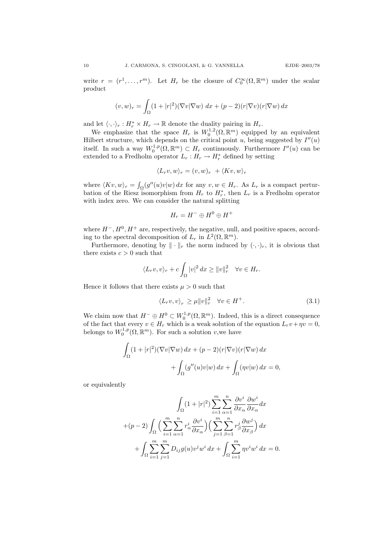write  $r = (r^1, \ldots, r^m)$ . Let  $H_r$  be the closure of  $C_0^{\infty}(\Omega, \mathbb{R}^m)$  under the scalar product

$$
(v, w)_r = \int_{\Omega} (1 + |r|^2)(\nabla v|\nabla w) \, dx + (p-2)(r|\nabla v)(r|\nabla w) \, dx
$$

and let  $\langle \cdot, \cdot \rangle_r : H_r^* \times H_r \to \mathbb{R}$  denote the duality pairing in  $H_r$ .

We emphasize that the space  $H_r$  is  $W_0^{1,2}(\Omega,\mathbb{R}^m)$  equipped by an equivalent Hilbert structure, which depends on the critical point u, being suggested by  $I''(u)$ itself. In such a way  $W_0^{1,p}(\Omega,\mathbb{R}^m) \subset H_r$  continuously. Furthermore  $I''(u)$  can be extended to a Fredholm operator  $L_r: H_r \to H_r^*$  defined by setting

$$
\langle L_r v, w \rangle_r = (v, w)_r + \langle Kv, w \rangle_r
$$

where  $\langle Kv, w \rangle_r = \int_{\Omega} (g''(u)v|w) dx$  for any  $v, w \in H_r$ . As  $L_r$  is a compact perturbation of the Riesz isomorphism from  $H_r$  to  $H_r^*$ , then  $L_r$  is a Fredholm operator with index zero. We can consider the natural splitting

$$
H_r = H^- \oplus H^0 \oplus H^+
$$

where  $H^-, H^0, H^+$  are, respectively, the negative, null, and positive spaces, according to the spectral decomposition of  $L_r$  in  $L^2(\Omega, \mathbb{R}^m)$ .

Furthermore, denoting by  $\|\cdot\|_r$  the norm induced by  $(\cdot,\cdot)_r$ , it is obvious that there exists  $c > 0$  such that

$$
\langle L_r v, v \rangle_r + c \int_{\Omega} |v|^2 \, dx \ge ||v||_r^2 \quad \forall v \in H_r.
$$

Hence it follows that there exists  $\mu > 0$  such that

$$
\langle L_r v, v \rangle_r \ge \mu \|v\|_r^2 \quad \forall v \in H^+.
$$
\n(3.1)

We claim now that  $H^- \oplus H^0 \subset W_0^{1,p}(\Omega, \mathbb{R}^m)$ . Indeed, this is a direct consequence of the fact that every  $v \in H_r$  which is a weak solution of the equation  $L_r v + \eta v = 0$ , belongs to  $W_0^{1,p}(\Omega,\mathbb{R}^m)$ . For such a solution v, we have

$$
\int_{\Omega} (1+|r|^2)(\nabla v|\nabla w) dx + (p-2)(r|\nabla v)(r|\nabla w) dx \n+ \int_{\Omega} (g''(u)v|w) dx + \int_{\Omega} (\eta v|w) dx = 0,
$$

or equivalently

$$
\int_{\Omega} (1+|r|^2) \sum_{i=1}^m \sum_{\alpha=1}^n \frac{\partial v^i}{\partial x_{\alpha}} \frac{\partial w^i}{\partial x_{\alpha}} dx
$$

$$
+(p-2) \int_{\Omega} \Big( \sum_{i=1}^m \sum_{\alpha=1}^n r_{\alpha}^i \frac{\partial v^i}{\partial x_{\alpha}} \Big) \Big( \sum_{j=1}^m \sum_{\beta=1}^n r_{\beta}^j \frac{\partial w^j}{\partial x_{\beta}} \Big) dx
$$

$$
+ \int_{\Omega} \sum_{i=1}^m \sum_{j=1}^m D_{ij} g(u) v^j w^i dx + \int_{\Omega} \sum_{i=1}^m \eta v^i w^i dx = 0.
$$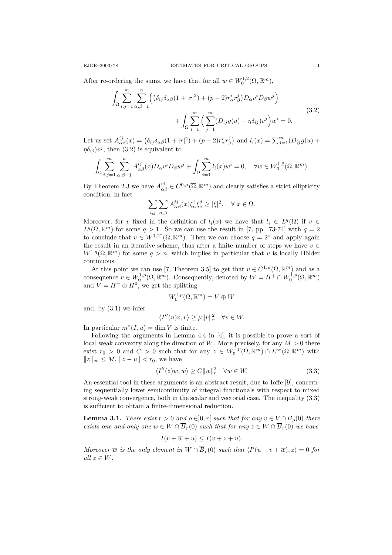After re-ordering the sums, we have that for all  $w \in W_0^{1,2}(\Omega, \mathbb{R}^m)$ ,

$$
\int_{\Omega} \sum_{i,j=1}^{m} \sum_{\alpha,\beta=1}^{n} \left( \left( \delta_{ij} \delta_{\alpha\beta} (1+|r|^2) + (p-2)r_{\alpha}^i r_{\beta}^j \right) D_{\alpha} v^i D_{\beta} w^j \right) + \int_{\Omega} \sum_{i=1}^{m} \left( \sum_{j=1}^{m} (D_{ij} g(u) + \eta \delta_{ij}) v^j \right) w^i = 0,
$$
\n(3.2)

Let us set  $A_{\alpha\beta}^{ij}(x) = \left(\delta_{ij}\delta_{\alpha\beta}(1+|r|^2) + (p-2)r_{\alpha}^ir_{\beta}^j\right)$  and  $l_i(x) = \sum_{j=1}^m (D_{ij}g(u) +$  $\eta \delta_{ij}$ ) $v^j$ , then (3.2) is equivalent to

$$
\int_{\Omega} \sum_{i,j=1}^m \sum_{\alpha,\beta=1}^n A_{\alpha\beta}^{ij}(x) D_{\alpha} v^i D_{\beta} w^j + \int_{\Omega} \sum_{i=1}^m l_i(x) w^i = 0, \quad \forall w \in W_0^{1,2}(\Omega, \mathbb{R}^m).
$$

By Theorem 2.3 we have  $A_{\alpha\beta}^{ij} \in C^{0,\mu}(\overline{\Omega}, \mathbb{R}^m)$  and clearly satisfies a strict ellipticity condition, in fact

$$
\sum_{i,j} \sum_{\alpha,\beta} A_{\alpha\beta}^{ij}(x) \xi_{\alpha}^{i} \xi_{\beta}^{j} \ge |\xi|^{2}, \quad \forall \ x \in \Omega.
$$

Moreover, for v fixed in the definition of  $l_i(x)$  we have that  $l_i \in L^q(\Omega)$  if  $v \in$  $L^q(\Omega,\mathbb{R}^m)$  for some  $q>1$ . So we can use the result in [7, pp. 73-74] with  $q=2$ to conclude that  $v \in W^{1,2^*}(\Omega,\mathbb{R}^m)$ . Then we can choose  $q=2^*$  and apply again the result in an iterative scheme, thus after a finite number of steps we have  $v \in$  $W^{1,q}(\Omega,\mathbb{R}^m)$  for some  $q > n$ , which implies in particular that v is locally Hölder continuous.

At this point we can use [7, Theorem 3.5] to get that  $v \in C^{1,\mu}(\Omega,\mathbb{R}^m)$  and as a consequence  $v \in W_0^{1,p}(\Omega, \mathbb{R}^m)$ . Consequently, denoted by  $W = H^+ \cap W_0^{1,p}(\Omega, \mathbb{R}^m)$ and  $V = H^{-} \oplus H^{0}$ , we get the splitting

$$
W_0^{1,p}(\Omega,\mathbb{R}^m)=V\oplus W
$$

and, by (3.1) we infer

$$
\langle I''(u)v, v \rangle \ge \mu \|v\|_r^2 \quad \forall v \in W.
$$

In particular  $m^*(I, u) = \dim V$  is finite.

Following the arguments in Lemma 4.4 in [4], it is possible to prove a sort of local weak convexity along the direction of W. More precisely, for any  $M > 0$  there exist  $r_0 > 0$  and  $C > 0$  such that for any  $z \in W_0^{1,p}(\Omega, \mathbb{R}^m) \cap L^{\infty}(\Omega, \mathbb{R}^m)$  with  $||z||_{\infty} \leq M, ||z - u|| < r_0$ , we have

$$
\langle I''(z)w, w \rangle \ge C \|w\|_r^2 \quad \forall w \in W. \tag{3.3}
$$

An essential tool in these arguments is an abstract result, due to Ioffe [9], concerning sequentially lower semicontinuity of integral functionals with respect to mixed strong-weak convergence, both in the scalar and vectorial case. The inequality (3.3) is sufficient to obtain a finite-dimensional reduction.

**Lemma 3.1.** There exist  $r > 0$  and  $\rho \in ]0, r[$  such that for any  $v \in V \cap \overline{B}_{\rho}(0)$  there exists one and only one  $\overline{w} \in W \cap \overline{B}_r(0)$  such that for any  $z \in W \cap \overline{B}_r(0)$  we have

$$
I(v + \overline{w} + u) \le I(v + z + u).
$$

Moreover  $\overline{w}$  is the only element in  $W \cap \overline{B}_r(0)$  such that  $\langle I'(u+v+\overline{w}), z \rangle = 0$  for all  $z \in W$ .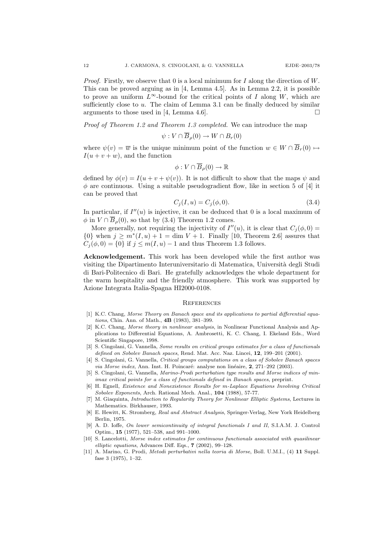*Proof.* Firstly, we observe that 0 is a local minimum for  $I$  along the direction of  $W$ . This can be proved arguing as in [4, Lemma 4.5]. As in Lemma 2.2, it is possible to prove an uniform  $L^{\infty}$ -bound for the critical points of I along W, which are sufficiently close to  $u$ . The claim of Lemma 3.1 can be finally deduced by similar arguments to those used in [4, Lemma 4.6].

Proof of Theorem 1.2 and Theorem 1.3 completed. We can introduce the map

$$
\psi: V \cap \overline{B}_{\rho}(0) \to W \cap B_r(0)
$$

where  $\psi(v) = \overline{w}$  is the unique minimum point of the function  $w \in W \cap \overline{B}_r(0) \mapsto$  $I(u + v + w)$ , and the function

$$
\phi: V \cap \overline{B}_{\rho}(0) \to \mathbb{R}
$$

defined by  $\phi(v) = I(u + v + \psi(v))$ . It is not difficult to show that the maps  $\psi$  and  $\phi$  are continuous. Using a suitable pseudogradient flow, like in section 5 of [4] it can be proved that

$$
C_j(I, u) = C_j(\phi, 0). \tag{3.4}
$$

In particular, if  $I''(u)$  is injective, it can be deduced that 0 is a local maximum of  $\phi$  in  $V \cap \overline{B}_\rho(0)$ , so that by (3.4) Theorem 1.2 comes.

More generally, not requiring the injectivity of  $I''(u)$ , it is clear that  $C_j(\phi, 0) =$  ${0}$  when  $j \geq m^*(I, u) + 1 = \dim V + 1$ . Finally [10, Theorem 2.6] assures that  $C_i(\phi, 0) = \{0\}$  if  $j \leq m(I, u) - 1$  and thus Theorem 1.3 follows.

Acknowledgement. This work has been developed while the first author was visiting the Dipartimento Interuniversitario di Matematica, Universit`a degli Studi di Bari-Politecnico di Bari. He gratefully acknowledges the whole department for the warm hospitality and the friendly atmosphere. This work was supported by Azione Integrata Italia-Spagna HI2000-0108.

#### **REFERENCES**

- [1] K.C. Chang, Morse Theory on Banach space and its applications to partial differential equations, Chin. Ann. of Math., 4B (1983), 381–399.
- [2] K.C. Chang, Morse theory in nonlinear analysis, in Nonlinear Functional Analysis and Applications to Differential Equations, A. Ambrosetti, K. C. Chang, I. Ekeland Eds., Word Scientific Singapore, 1998.
- [3] S. Cingolani, G. Vannella, Some results on critical groups estimates for a class of functionals defined on Sobolev Banach spaces, Rend. Mat. Acc. Naz. Lincei, 12, 199–201 (2001).
- [4] S. Cingolani, G. Vannella, Critical groups computations on a class of Sobolev Banach spaces via Morse index, Ann. Inst. H. Poincaré: analyse non linéaire,  $2, 271-292$  (2003).
- [5] S. Cingolani, G. Vannella, Marino-Prodi perturbation type results and Morse indices of minimax critical points for a class of functionals defined in Banach spaces, preprint.
- [6] H. Egnell, Existence and Nonexistence Results for m-Laplace Equations Involving Critical Sobolev Exponents, Arch. Rational Mech. Anal., 104 (1988), 57-77.
- [7] M. Giaquinta, *Introduction to Regularity Theory for Nonlinear Elliptic Systems*, Lectures in Mathematics. Birkhauser, 1993.
- [8] E. Hewitt, K. Stromberg, Real and Abstract Analysis, Springer-Verlag, New York Heidelberg Berlin, 1975.
- [9] A. D. Ioffe, On lower semicontinuity of integral functionals I and II, S.I.A.M. J. Control Optim., 15 (1977), 521–538, and 991–1000.
- [10] S. Lancelotti, Morse index estimates for continuous functionals associated with quasilinear elliptic equations, Advances Diff. Eqs., 7 (2002), 99–128.
- [11] A. Marino, G. Prodi, Metodi perturbativi nella teoria di Morse, Boll. U.M.I., (4) 11 Suppl. fase 3 (1975), 1–32.